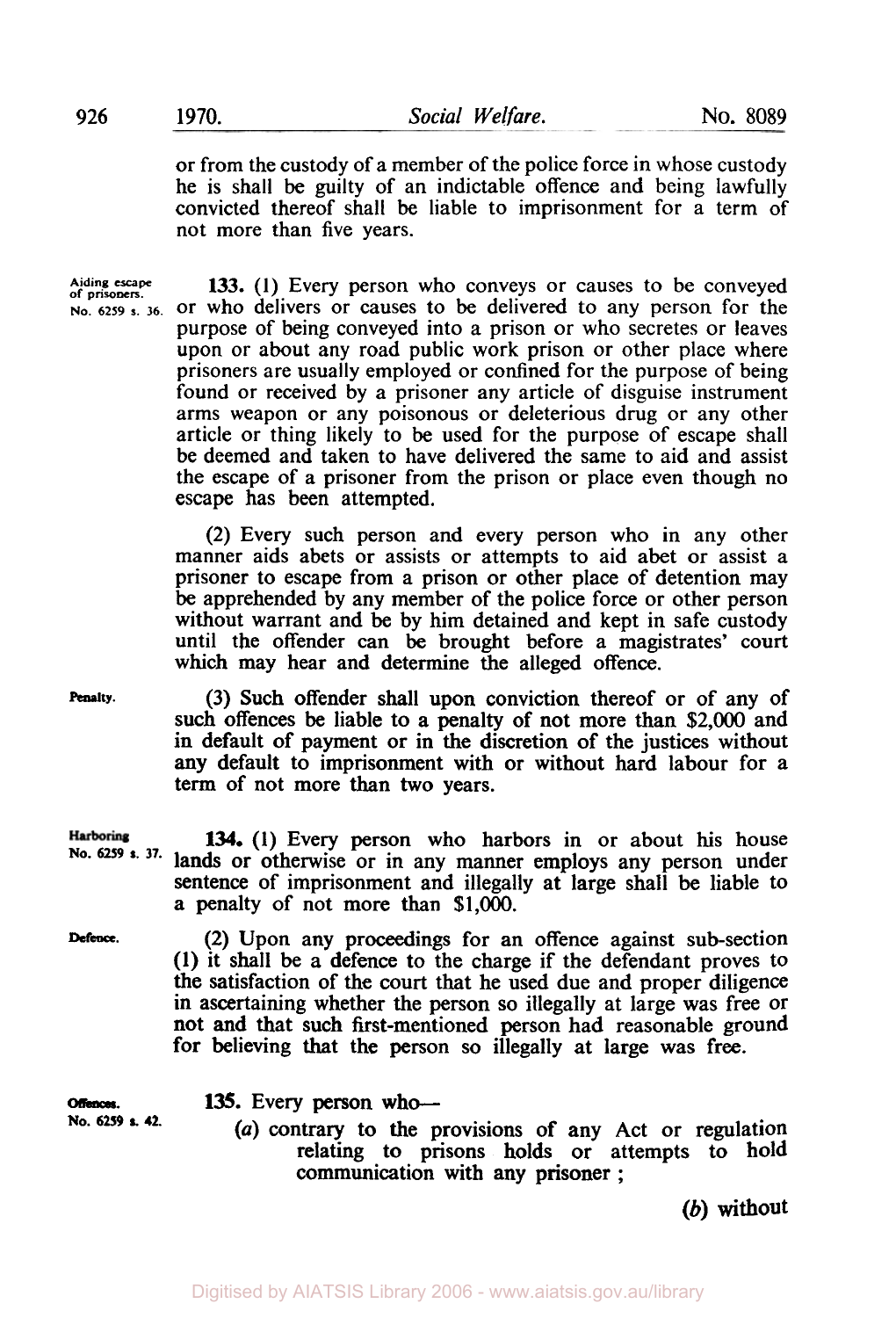or from the custody of a member of the police force in whose custody he is shall be guilty of an indictable offence and being lawfully convicted thereof shall be liable to imprisonment for a term of not more than five years.

Aiding escape **133.** (1) Every person who conveys or causes to be conveyed No. 6259 s. 36. Or who delivers or causes to be delivered to any person for the or who delivers or causes to be delivered to any person for the purpose of being conveyed into a prison or who secretes or leaves upon or about any road public work prison or other place where prisoners are usually employed or confined for the purpose of being found or received by a prisoner any article of disguise instrument arms weapon or any poisonous or deleterious drug or any other article or thing likely to be used for the purpose of escape shall be deemed and taken to have delivered the same to aid and assist the escape of a prisoner from the prison or place even though no escape has been attempted.

> (2) Every such person and every person who in any other manner aids abets or assists or attempts to aid abet or assist a prisoner to escape from a prison or other place of detention may be apprehended by any member of the police force or other person without warrant and be by him detained and kept in safe custody until the offender can be brought before a magistrates' court which may hear and determine the alleged offence.

**Penalty.** 

(3) Such offender shall upon conviction thereof or of any of such offences be liable to a penalty of not more than \$2,000 and in default of payment or in the discretion of the justices without any default to imprisonment with or without hard labour for a term of not more than **two** years.

**Harboring 134. (1)** Every person who harbors in or about his house **No.** *6259* **s. 37.**  lands or otherwise or in any manner employs any person under sentence of imprisonment and illegally at large shall be liable to a penalty of not more **than** \$1,000.

**Defence.** 

(2) Upon any proceedings for an offence against sub-section **(1)** it shall be a defence to the charge if the defendant proves to the satisfaction of the court that he used due and proper diligence in ascertaining whether the person **so** illegally at large was free or not and that such first-mentioned person had reasonable ground for believing that the person so illegally at large was free.

**Offences. 135.** Every **person who-**  *(a)* contrary to the provisions of any Act or regulation relating to prisons holds or attempts to hold communication with any prisoner ; **No.** *6259* **s. 42.** 

(b) without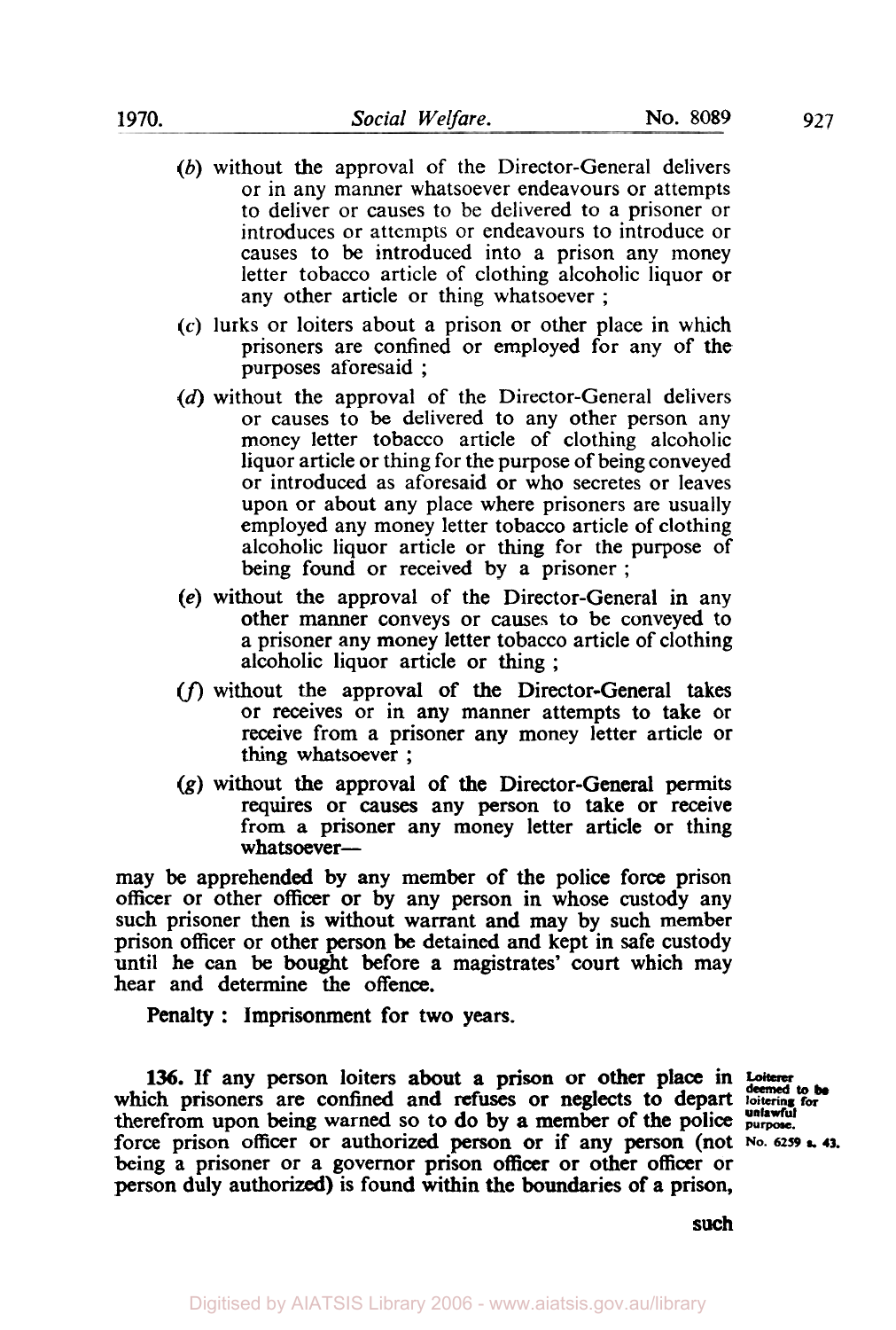- (b) without the approval of the Director-General delivers or in any manner whatsoever endeavours or attempts to deliver or causes to be delivered to a prisoner or introduces or attempts or endeavours to introduce or causes to be introduced into a prison any money letter tobacco article of clothing alcoholic liquor or any other article or thing whatsoever ;
- *(c)* lurks or loiters about a prison or other place in which prisoners are confined or employed for any of the purposes aforesaid ;
- (d) without the approval of the Director-General delivers or causes to be delivered to any other person any money letter tobacco article of clothing alcoholic liquor article or thing for the purpose of being conveyed or introduced as aforesaid or who secretes or leaves upon or about any place where prisoners are usually employed any money letter tobacco article of clothing alcoholic liquor article or thing for the purpose of being found or received by a prisoner ;
- **(e)** without the approval of the Director-General in any other manner conveys or causes to be conveyed to a prisoner any money letter tobacco article of clothing alcoholic liquor article or thing ;
- $(f)$  without the approval of the Director-General takes or receives or in any manner attempts to take or receive from a prisoner any money letter article or thing whatsoever ;
- (g) without the approval of the Director-General permits requires or causes any person to take or receive from a prisoner any money letter article or thing whatsoever-

may be apprehended by any member of the police force prison officer or other officer or by any person in whose custody any such prisoner then is without warrant and **may** by such member prison officer or other person be detained and kept in safe custody until he can be bought before a magistrates' court which may hear and determine the offence.

**Penalty** : Imprisonment for two **years.** 

**136.** If any person loiters about a prison or other place in Loiterer which prisoners are confined and **refuses** or **neglects** to depart **loitering for**  therefrom upon being warned so to do by a member of the police purpose. force prison officer or authorized person or if any person (not **No. 6259 h 43.**  being a prisoner or a governor prison officer or other officer or person duly authorized) is found within the boundaries of a prison,

**such**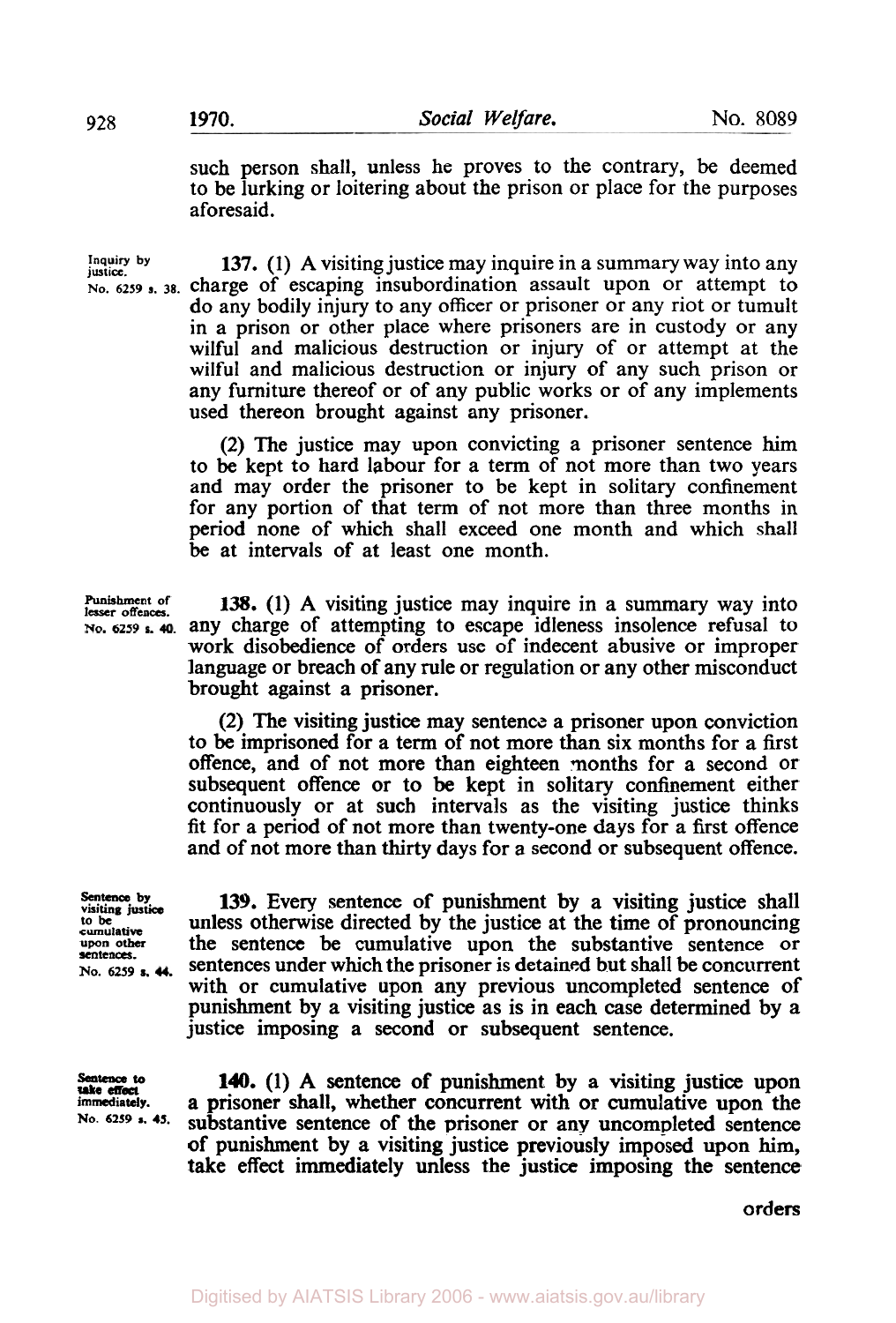such person shall, unless he proves to the contrary, be deemed to be lurking or loitering about the prison or place for the purposes aforesaid.

**justice. Inquiry by 137. (1)** A visiting justice may inquire in a summary way into any **No. 6259 s. 38.** charge of escaping insubordination assault upon or attempt to do any bodily injury to any officer or prisoner or any riot or tumult in a prison or other place where prisoners are in custody or any wilful and malicious destruction or injury of or attempt at the wilful and malicious destruction or injury of any such prison or any furniture thereof or of any public works or of any implements used thereon brought against any prisoner.

> (2) The justice may upon convicting a prisoner sentence him to be kept to hard labour for a term of not more than two years and may order the prisoner to be kept in solitary confinement for any portion of that term of not more than three months in period none of which shall exceed one month and which shall be at intervals of at least one month.

> **138.** (1) A visiting justice may inquire in a summary way into any charge of attempting to escape idleness insolence refusal to work disobedience of orders use of indecent abusive or improper language or breach of any rule or regulation or any other misconduct brought against a prisoner.

> (2) The visiting justice may sentence a prisoner upon conviction to be imprisoned for a term of not more than six months for a first offence, and of not more than eighteen months for a second or subsequent offence or to be kept in solitary confinement either continuously or at such intervals as the visiting justice thinks fit for a period of not more than twenty-one days for a first offence and of not more than thirty days for a second or subsequent offence.

**sentences.** 

Sentence by visiting justice **139.** Every sentence of punishment by a visiting justice shall unless otherwise directed by the justice at the time of pronouncing cumulative to be **the cumulative to be a unless otherwise directed by the justice at the time of pronouncing upon other the sentence be cumulative upon the substantive sentence or** the sentence be cumulative upon the substantive sentence or **No. 6259** s. sentences under which the prisoner is detained but shall be concurrent with or cumulative upon any previous uncompleted sentence of punishment by a visiting justice as is in each case determined by a justice imposing a second or subsequent sentence.

*take effect* 

**140.** (1) A sentence of punishment by a visiting justice upon **immediately. a** prisoner shall, whether concurrent with or cumulative upon the No. 6259 **s.** 45. culturative contance of the prisoner or any uncompleted sentence substantive sentence of the prisoner or any uncompleted sentence of punishment by a visiting justice previously imposed upon **him,**  take effect immediately unless the justice imposing the sentence

orders

Punishment of lesser offences. **No. 6259**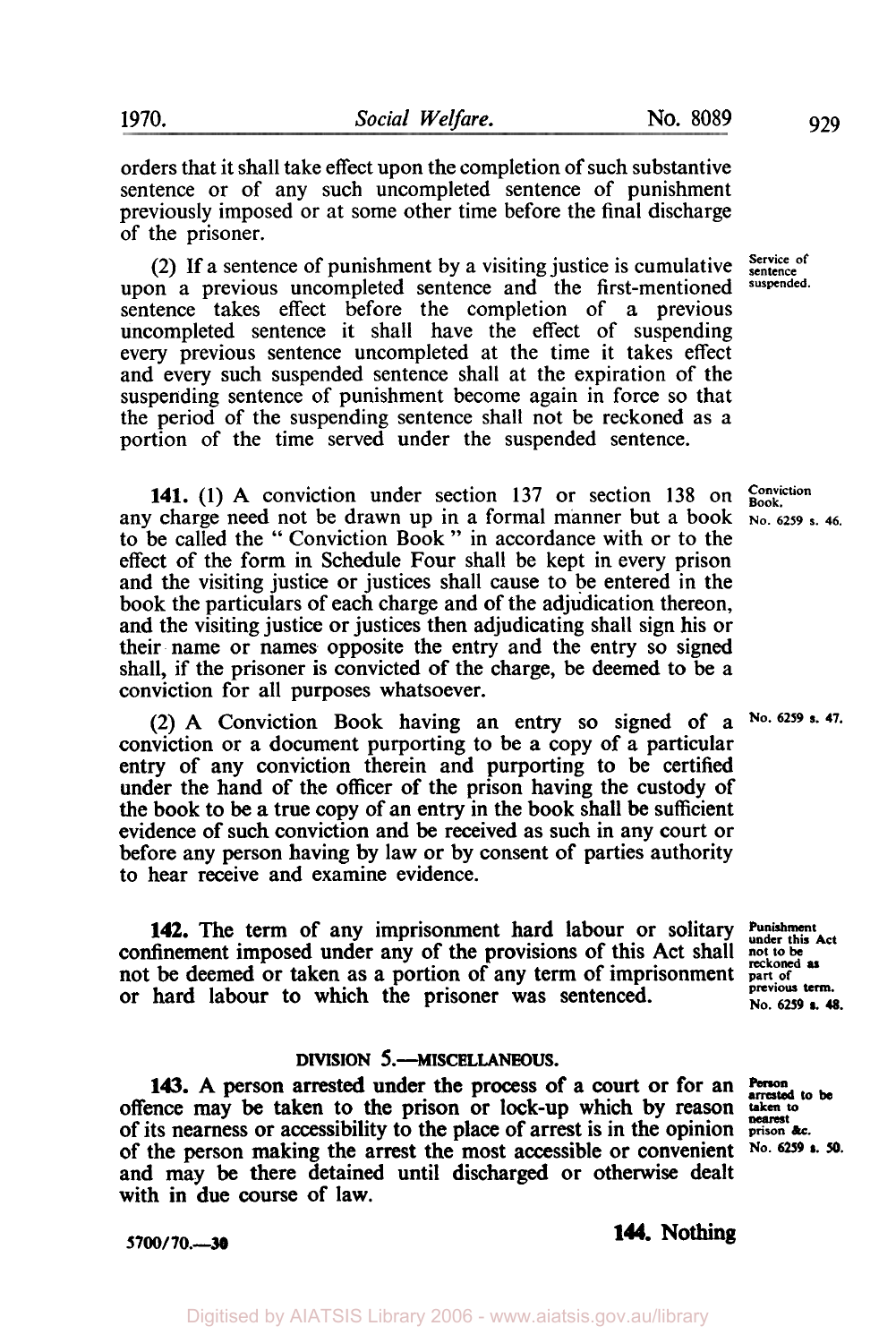orders that it shall take effect upon the completion of such substantive sentence or of any such uncompleted sentence of punishment previously imposed or at some other time before the final discharge of the prisoner.

**(2)** If a sentence of punishment by a visiting justice is cumulative upon a previous uncompleted sentence and the first-mentioned sentence takes effect before the completion of a previous uncompleted sentence it shall have the effect of suspending every previous sentence uncompleted at the time it takes effect and every such suspended sentence shall at the expiration of the suspending sentence of punishment become again in force so that the period of the suspending sentence shall not be reckoned as a portion of the time served under the suspended sentence.

**141. (1)** A conviction under section **137** or section **138** on any charge need not be drawn up in a formal manner but a book to be called the " Conviction Book " in accordance with or to the effect of the form in Schedule Four shall be kept in every prison and the visiting justice or justices shall cause to be entered in the book the particulars of each charge and of the adjudication thereon, and the visiting justice or justices then adjudicating shall sign his or their name or names opposite the entry and the entry so signed shall, if the prisoner is convicted of the charge, be deemed to be a conviction for all purposes whatsoever.

(2) A Conviction Book having an entry so signed of a conviction or a document purporting to be a copy of a particular entry of any conviction therein and purporting to be certified under the hand of the officer of the prison having the custody of the book to be a true copy of an entry in the book shall be sufficient evidence of such conviction and be received as such in any court or before any person having by law or by consent of parties authority to hear receive and examine evidence.

**142.** The term of any imprisonment hard labour or solitary confinement imposed under any of the provisions of this Act shall not be deemed or taken as a portion of any term of imprisonment or hard labour to which the prisoner was sentenced. **Punishment under this Act previous** term. **No.** *6259* **a. 48.** 

### **DIVISION 5.-MISCELLANEOUS.**

143. A person arrested under the process of a court or for an **Person** offence may be taken to the prison or lock-up which by reason **taken to nearest**  of its nearness or accessibility to the place of arrest is in the opinion **prison** &c. of the person making the arrest the most accessible or convenient **No.** *6259* s. **50.**  and may be there detained until discharged or otherwise dealt with in due course of law.

**arrested to be** 

**not** *to* **be reckoned as part of** 

# **5700/ 70.-30 144. Nothing**

**Service of sentence suspended.** 

**Conviction Book. No. 6259 s. 46.** 

**No.** *62S9* **a. 47.**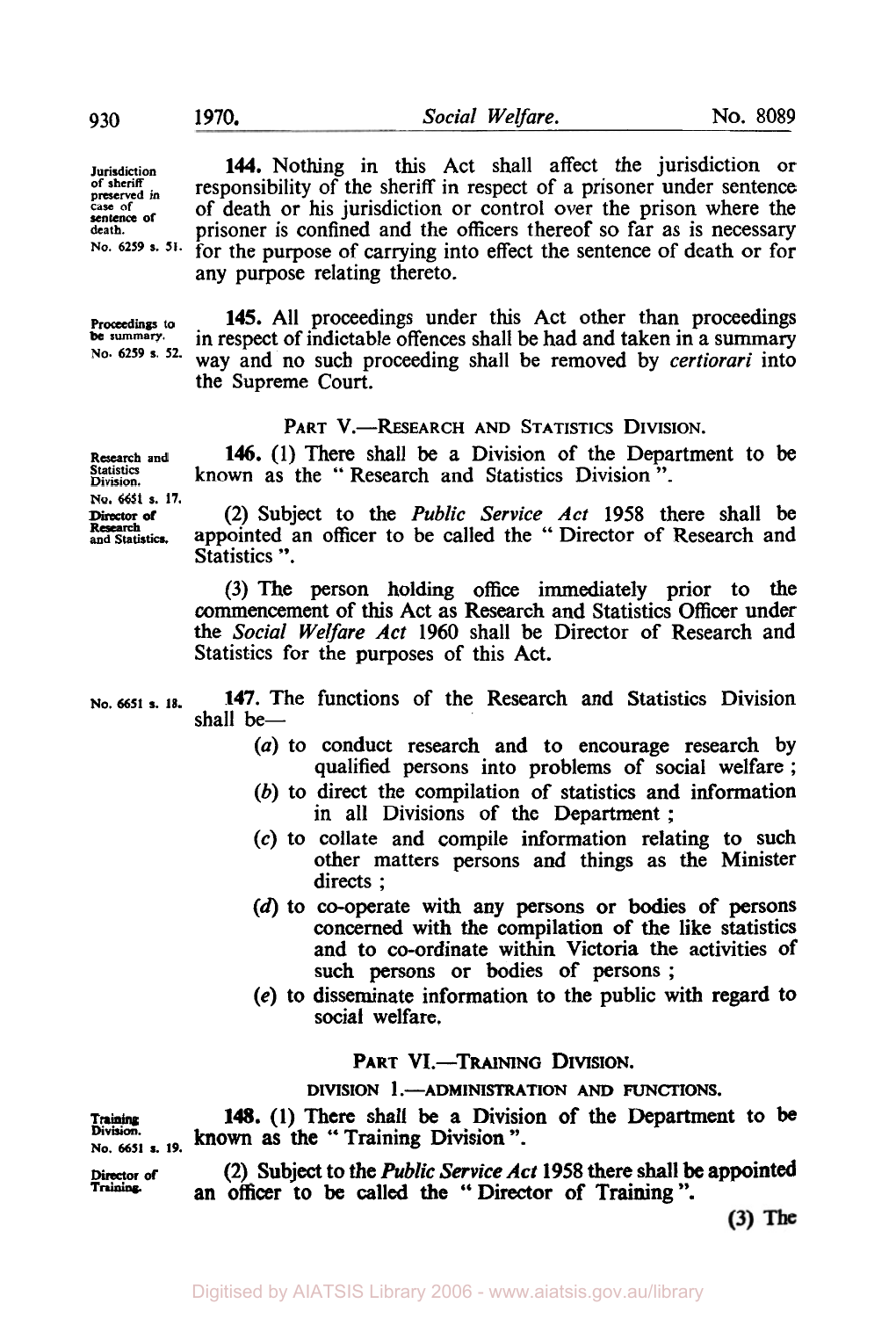**Jurisdiction** 144. Nothing in this Act shall affect the jurisdiction or of sheriff preserved in **responsibility of the sheriff in respect of a prisoner under sentence** reserved in **of death or his invisibility** or control over the prison where the rease of of death or his jurisdiction or control over the prison where the death or his jurisdiction or control over the prison where the death. death. **prisoner** is confined and the officers thereof so far as is necessary<br>No. 6259 s. <sup>51</sup>. for the nurmose of carrying into offect the sentence of death or for for the purpose of carrying into effect the sentence of death or for

Proceedings to **be** summary. **145.** All proceedings under this Act other than proceedings in respect of indictable offences shall be had and taken in a summary way and no such proceeding shall be removed by *certiorari* into the Supreme **Court. No.** *6259 s. 52.* 

#### PART V.-RESEARCH AND STATISTICS DIVISION.

**146.** (1) There shall be a Division of the Department to be known as the " Research and Statistics Division ".

**Research and No. 6651 s. 17.** 

**Research**<br>and Statistics.

Division.

**Director of (2)** Subject to the *Public Service Act* **1958** there shall be appointed an officer to be called the " Director of Research and Statistics ".

(3) The person holding office immediately prior to the commencement of **this** Act as Research and Statistics Officer under the *Social Welfare Act* 1960 shall be Director of Research and Statistics for the purposes of this Act.

**147.** The functions of the Research and Statistics Division shall be-**No. 6651** *s.* **18.** 

- *(a)* **to** conduct research and to encourage research by qualified persons into problems of social welfare ;
- (b) to direct the compilation of statistics and information in all Divisions of the Department ;
- (c) to collate and compile information relating to such other matters persons and things as the Minister directs ;
- (d) **to** co-operate with any persons or bodies of persons concerned with the compilation of the like statistics and to co-ordinate within Victoria the activities of such persons or bodies of persons ;
- *(e)* **to** disseminate information to the public with regard **to**  social welfare.

PART VI.-TRAINING DIVISION.

DIVISION **1** .-ADMINISTRATION AND **FUNCTIONS.** 

**Training 148. (1)** There shall be **a** Division of the Department to be known as the "Training Division". **No. 6651 s. 19.** 

**Director** *of* **(2)** Subject **to** the *Public Service* Act **1958** there shall be appointed an officer to be called the "Director of Training".

 $(3)$  The

any purpose relating thereto.

Digitised by AIATSIS Library 2006 - www.aiatsis.gov.au/library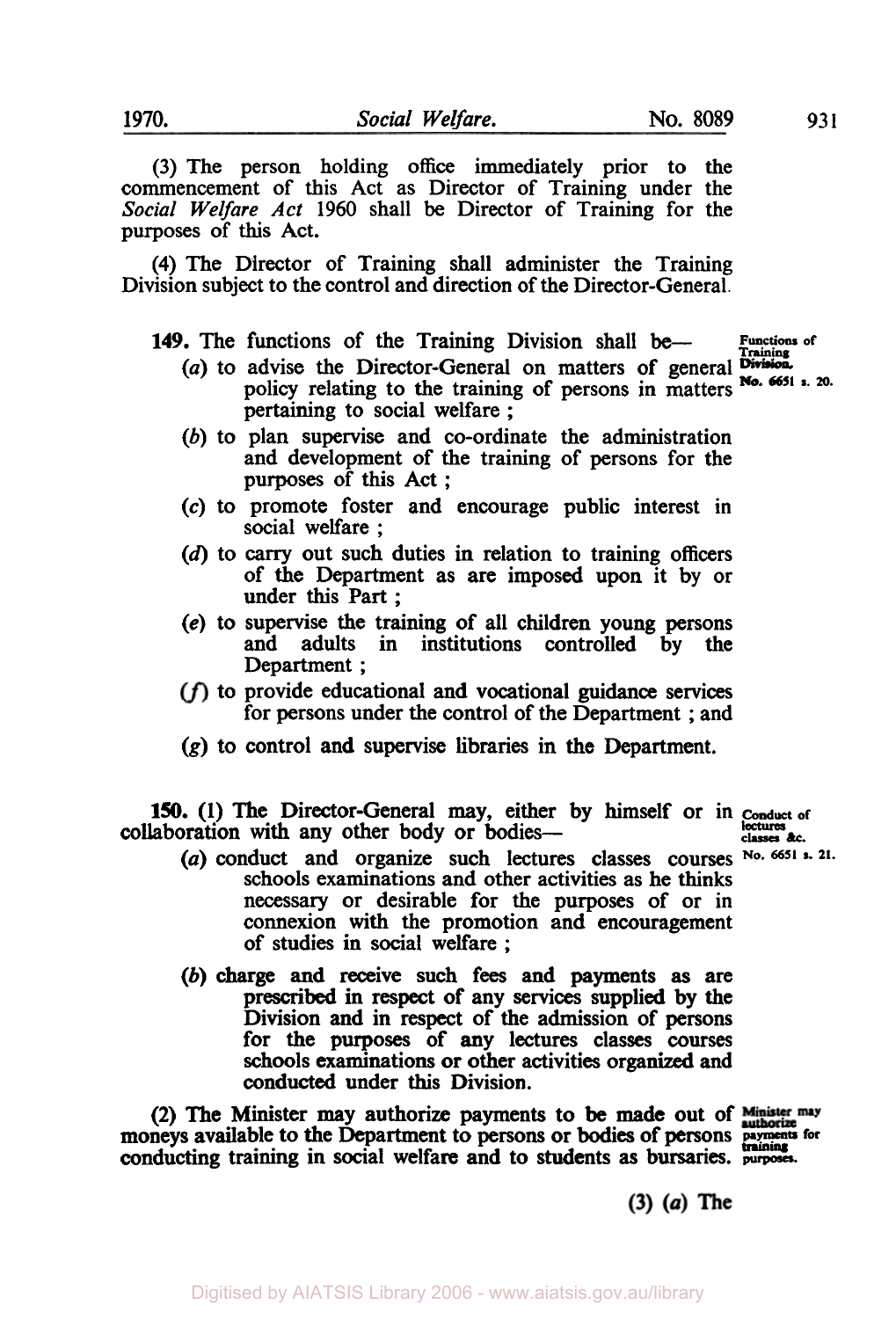(3) The person holding **office** immediately prior to the commencement of this Act as Director of Training under the *Social Welfare Act* 1960 shall be Director of Training for the

**(4)** The Director of Training shall administer the Training Division subject to the control and direction of the Director-General.

149. The functions of the Training Division shall be-

- **Training**  *(a)* to advise the Director-General on matters of general **Division**  policy relating to the training of persons in matters No. 6651 **s.** 20. pertaining to social welfare;
- (b) to plan supervise and co-ordinate the administration and development of the training of persons for the purposes of **this** Act ;
- *(c)* to promote foster and encourage public interest in social welfare ;
- (d) to carry out such duties in relation to training officers of the Department as are imposed upon it by or under **this** Part ;
- **(e)** to supervise the training of all children young persons and adults in institutions controlled by the Department ;
- to provide educational **and** vocational **guidance** services for persons under the control of the Department ; and
- **(g)** to control and supervise libraries in the Department.

**150.** (1) The Director-General may, either by himself or in *Conduct of*  laboration with any other body or bodies collaboration with any other body or bodies-

- schools examinations and other activities as he thinks necessary or desirable for the purposes of or in connexion **with** the promotion and encouragement of studies in social welfare ; (a) conduct and organize such lectures classes courses **No. 6651** \*- **21.**
- (b) charge and receive such fees and payments **as** are prescribed in respect of any **services** supplied by the Division and in respect of the admission of persons for the purposes of any lectures classes **courses**  schools examinations or other activities organized **and**  conducted under **this** Division.

**(2) The** Minister may **authorize** payments to **be** made out of (2) The Willister may authorize payments to be made out of **authorize**<br>moneys available to the Department to persons or bodies of persons **payments** for conducting training in social welfare and to students **as** bursaries. puposes. **training** 

 $(3)$   $(a)$  The

purposes of **this** Act.

**Functions of**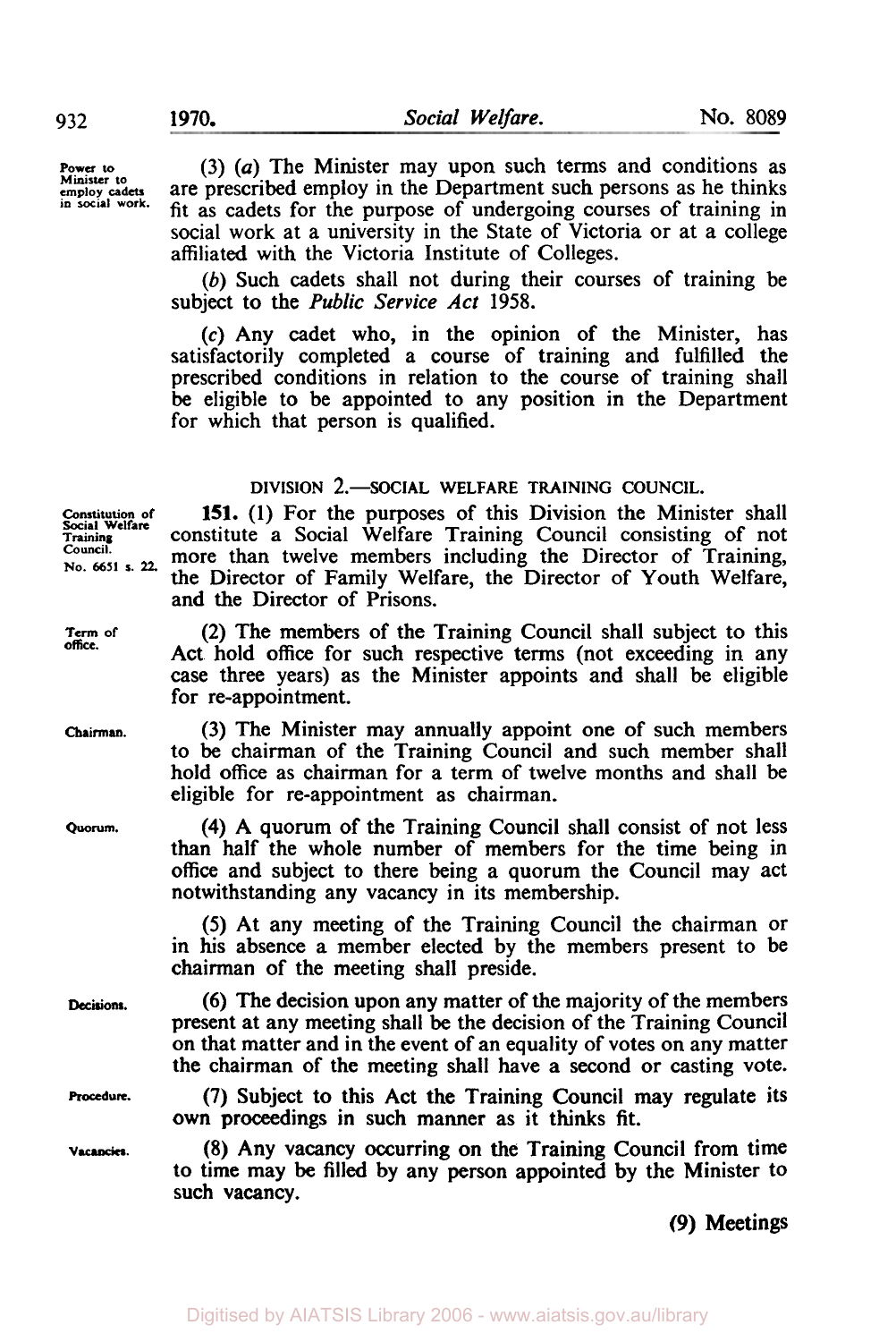**Power to Minister to employ cadets in social work.** 

*(3) (a)* The Minister may upon such terms and conditions as are prescribed employ in the Department such persons as he thinks fit as cadets for the purpose of undergoing courses of training in social work at a university in the State of Victoria or at a college affiliated with the Victoria Institute of Colleges.

*(b)* Such cadets shall not during their courses of training be subject to the *Public Service Act* **1958.** 

*(c)* Any cadet who, in the opinion of the Minister, has satisfactorily completed a course of training and fulfilled the prescribed conditions in relation to the course of training shall **be** eligible to be appointed to any position in the Department for which that person is qualified.

#### **DIVISION 2.**-SOCIAL WELFARE TRAINING COUNCIL.

151. (1) For the purposes of this Division the Minister shall constitute a Social Welfare Training Council consisting of not more than twelve members including the Director of Training, the Director of Family Welfare, the Director of Youth Welfare, and the Director of Prisons.

**(2)** The members of the Training Council shall subject to this Act hold office for such respective terms (not exceeding in any case three years) as the Minister appoints and shall be eligible

(3) The Minister may annually appoint one of such members to be chairman of the Training Council and such member shall hold office as chairman for a term of twelve months and shall be eligible for re-appointment as chairman.

**(4)** A quorum of the Training Council shall consist of not less than half the whole number of members for the time being in office and subject to there being a quorum the Council may act notwithstanding any vacancy in its membership.

*(5)* At any meeting of the Training Council the chairman or in his absence a member elected by the members present to be

(6) The decision upon any matter **of** the majority of the members present at any meeting shall be the decision of the Training Council on that matter and in the event of an equality of votes on any matter the chairman of the meeting shall have a second or casting vote.

**(7)** Subject to this Act the Training Council may regulate its **own** proceedings in such manner as it thinks fit.

(8) Any vacancy occurring on the Training Council from time to time may be filled by any person appointed by the Minister to such vacancy.

**(9)** Meetings

for re-appointment. Chairman of the meeting shall preside. **Social Welfare Training Council. No. 6651 s.** *22.*  **Term of office. Chairman. Quorum.** 

**Decisions.** 

**Procedure.** 

**Vacancies.**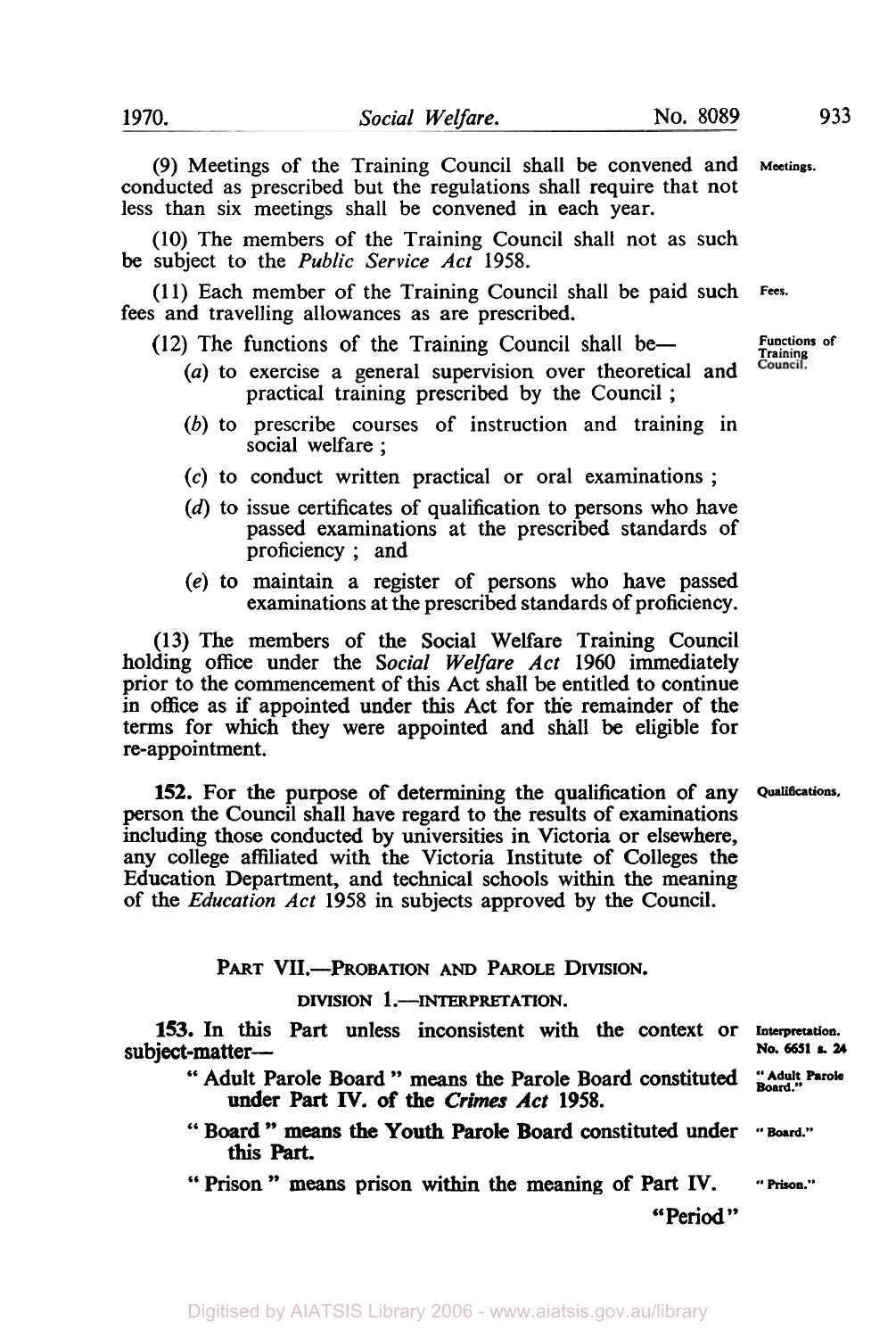**(9)** Meetings of the Training Council shall be convened and **Meetings.**  conducted as prescribed but the regulations shall require that not less than six meetings shall be convened in each year.

(10) The members of the Training Council shall not as such be subject to the *Public Service Act* 1958.

(1 1) Each member of the Training Council shall be paid such **Fees.**  fees and travelling allowances as are prescribed.

- (12) The functions of the Training Council shall be-
	- (a) to exercise a general supervision over theoretical and practical training prescribed by the Council ;
	- *(b)* to prescribe courses of instruction and training in social welfare ;
	- (c) to conduct written practical or oral examinations ;
	- (d) to issue certificates of qualification to persons who have passed examinations at the prescribed standards of proficiency ; and
	- *(e)* to maintain a register of persons who have passed examinations at the prescribed standards of proficiency.

**(13)** The members of the Social Welfare Training Council holding **office** under the *Social Welfare Act* **1960** immediately prior to the commencement of this Act shall be entitled to continue in **office** as if appointed under this Act for the remainder of the terms for which they were appointed and shall be eligible for re-appointment.

**152.** For the purpose of determining the qualification of any **Qualifications**  person the Council shall have regard to the results of examinations including those conducted by universities in Victoria or elsewhere, any college affiliated with the Victoria Institute of Colleges the Education Department, and technical schools within the meaning of the *Education Act* **1958** in subjects approved by the Council.

PART VII.-PROBATION AND **PAROLE** DIVISION.

## DIVISION 1.-INTERPRETATION.

**153.** In this Part unless inconsistent with the context or Interpretation.<br>
subject-matter- **No.** 6651 **s.** 24 No. 6651 s. 24<br>" Adult Parole Board " means the Parole Board constituted "Adult Parole **Board."** 

- under **Part IV.** of the Crimes Act **1958.**
- " Board " means the Youth Parole Board constituted under "Board." this Part.

" Prison " **means** prison within the meaning of Part IV. **"Prison."** 

"Period "

**Functions of**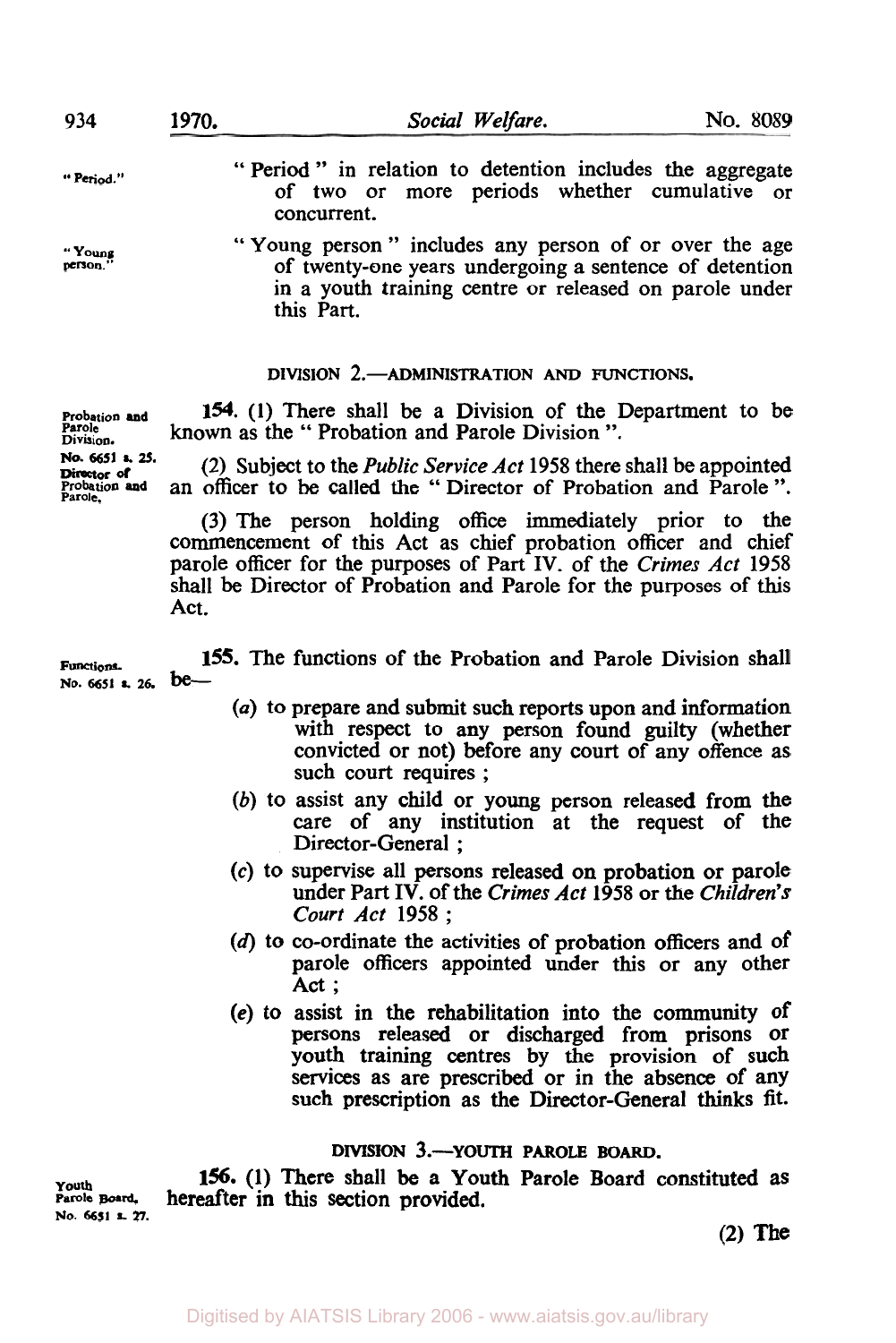| 934                                  | 1970.                                     | Social Welfare.                                                                                                                                                                         |  | No. 8089 |
|--------------------------------------|-------------------------------------------|-----------------------------------------------------------------------------------------------------------------------------------------------------------------------------------------|--|----------|
| "Period."                            |                                           | "Period" in relation to detention includes the aggregate<br>of two or more periods whether cumulative or<br>concurrent.                                                                 |  |          |
| "Young<br>person."                   |                                           | "Young person" includes any person of or over the age<br>of twenty-one years undergoing a sentence of detention<br>in a youth training centre or released on parole under<br>this Part. |  |          |
|                                      | DIVISION 2. ADMINISTRATION AND FUNCTIONS. |                                                                                                                                                                                         |  |          |
| Probation and<br>Parole<br>Division. |                                           | 154. (1) There shall be a Division of the Department to be<br>known as the "Probation and Parole Division".                                                                             |  |          |

**(2)** Subject to the *Public Service* Act **1958** there shall be appointed an officer to be called the " Director of Probation and Parole ". **No. 6651 s. 25.** 

> (3) The person holding office immediately prior to the commencement of this Act as chief probation officer and chief parole officer for the purposes of Part IV. of the *Crimes* Act **1958**  shall be Director of Probation and Parole for the purposes of **this**  Act.

**Functions 155.** The functions of the Probation and Parole Division shall **No. 6651 s. 26. be-**

- *(a)* to prepare and submit such reports upon and information with respect to any person found guilty (whether convicted or not) before any court of any offence as such court requires ;
- *(b)* **to** assist any child or young person released from the care of any institution at the request of the Director-General ;
- *(c)* to supervise all persons released on probation or parole under Part **IV.** of the *Crimes Act* **1958** or the *Children's Court Act* **1958** ;
- (d) to co-ordinate the activities of probation officers and of parole officers appointed under this or any other Act;
- **(e)** to assist in the rehabilitation into the community of persons released or discharged from prisons or youth training centres by the provision of such services as are prescribed or in the absence of any such prescription as the Director-General **thinks** fit.

## **DIVISION 3.-YOUTH PAROLE BOARD.**

**Youth Parole Board**,<br>No. 6651 s. 27. **156. (1)** There shall be a Youth Parole Board constituted **as hereafter in this section provided.** 

**(2) The** 

Digitised by AIATSIS Library 2006 - www.aiatsis.gov.au/library

Probation and<br>Parole.

**Director of**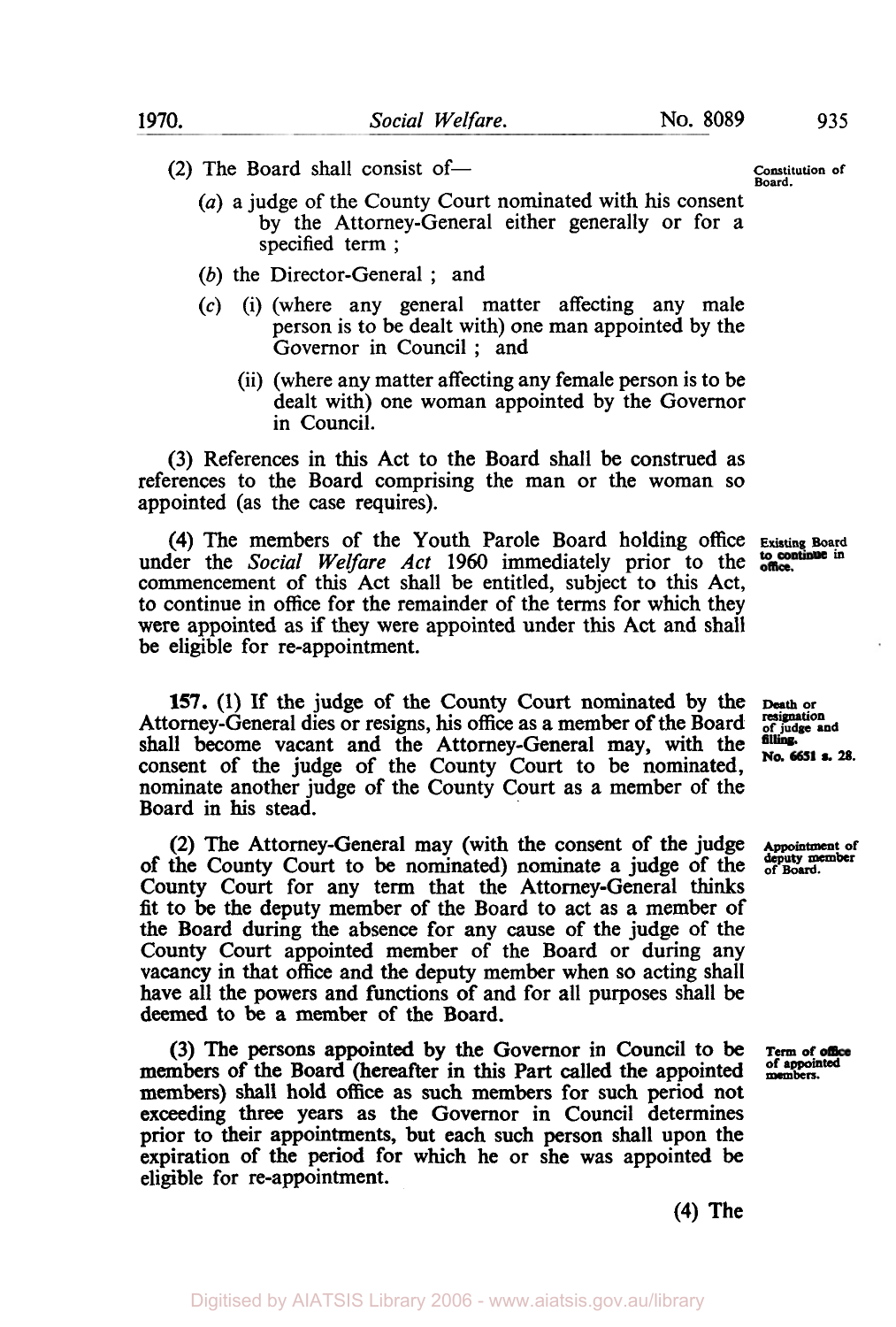**Constitution of** 

- $(2)$  The Board shall consist of-
	- *(a)* a judge of the County Court nominated with his consent by the Attorney-General either generally or for a specified term ;
	- (b) the Director-General ; and
	- **(c)** (i) (where any general matter affecting any male person is to be dealt with) one man appointed by the Governor in Council ; and
		- (ii) (where any matter affecting any female person is to be dealt with) one woman appointed by the Governor in Council.

(3) References in this Act to the Board shall be construed as references to the Board comprising the man or the woman so appointed (as the case requires).

**(4)** The members of the Youth Parole Board holding office **Existing** Board under the *Social Welfare Act* 1960 immediately prior to the commencement of this Act shall be entitled, subject to this Act, to continue in office for the remainder of the terms for which they were appointed as if they were appointed under this **Act** and shall be eligible for re-appointment.

No. 6651 s. 28.

**157.** (1) If the judge of the County Court nominated by the **Death or** Attorney-General dies or resigns, his office as a member of the Board of *st* judge and shall become vacant and the Attorney-General may, with the consent of the judge of the County Court to be nominated, nominate another judge of the County Court as a member of the Board in **his** stead.

**(2)** The Attorney-General may (with the consent of the judge **Appointment of**  of the County Court to be nominated) nominate a judge of the County Court for any term that the Attorney-General **thinks**  fit to be the deputy member of the Board to act as a member of the Board during the absence for any cause of the judge of the County Court appointed member of the Board or during any vacancy in that **office** and the deputy member when so acting shall have all the powers and functions of and for all purposes shall be deemed to be **a** member of the Board.

(3) The persons appointed by the Governor in Council to be **Term of office** members of the Board (hereafter in this Part called the appointed members. members) shall hold office as such members for such period not exceeding three years **as** the Governor in Council determines prior to their appointments, but each such **person** shall upon the expiration of the period for which he or she was appointed be eligible for re-appointment.

**(4)** The